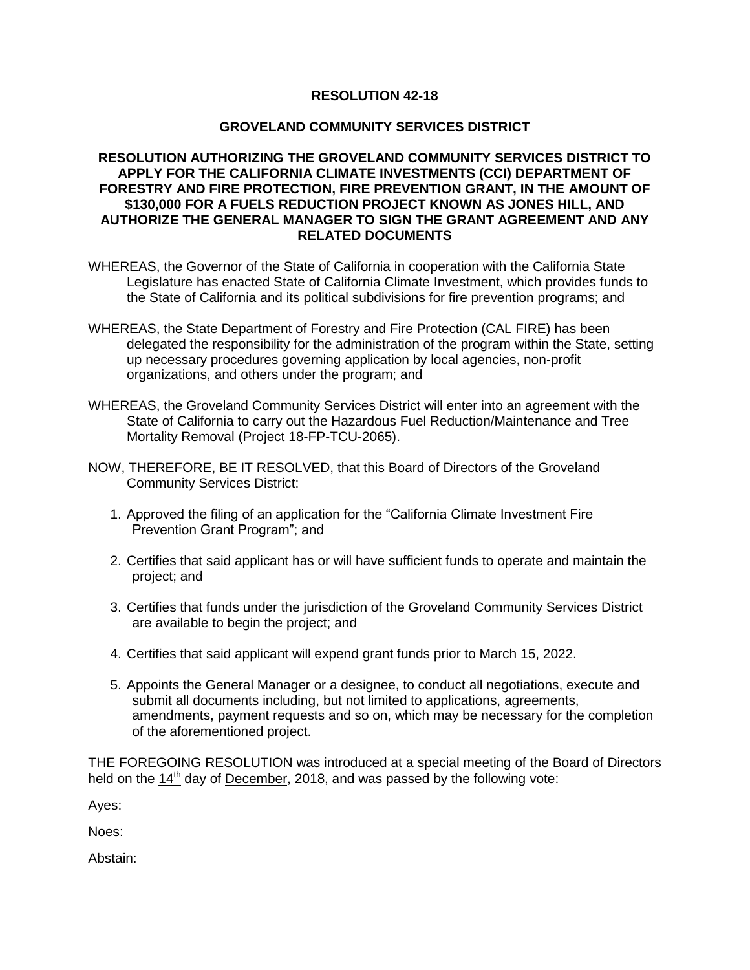## **RESOLUTION 42-18**

## **GROVELAND COMMUNITY SERVICES DISTRICT**

## **RESOLUTION AUTHORIZING THE GROVELAND COMMUNITY SERVICES DISTRICT TO APPLY FOR THE CALIFORNIA CLIMATE INVESTMENTS (CCI) DEPARTMENT OF FORESTRY AND FIRE PROTECTION, FIRE PREVENTION GRANT, IN THE AMOUNT OF \$130,000 FOR A FUELS REDUCTION PROJECT KNOWN AS JONES HILL, AND AUTHORIZE THE GENERAL MANAGER TO SIGN THE GRANT AGREEMENT AND ANY RELATED DOCUMENTS**

- WHEREAS, the Governor of the State of California in cooperation with the California State Legislature has enacted State of California Climate Investment, which provides funds to the State of California and its political subdivisions for fire prevention programs; and
- WHEREAS, the State Department of Forestry and Fire Protection (CAL FIRE) has been delegated the responsibility for the administration of the program within the State, setting up necessary procedures governing application by local agencies, non-profit organizations, and others under the program; and
- WHEREAS, the Groveland Community Services District will enter into an agreement with the State of California to carry out the Hazardous Fuel Reduction/Maintenance and Tree Mortality Removal (Project 18-FP-TCU-2065).
- NOW, THEREFORE, BE IT RESOLVED, that this Board of Directors of the Groveland Community Services District:
	- 1. Approved the filing of an application for the "California Climate Investment Fire Prevention Grant Program"; and
	- 2. Certifies that said applicant has or will have sufficient funds to operate and maintain the project; and
	- 3. Certifies that funds under the jurisdiction of the Groveland Community Services District are available to begin the project; and
	- 4. Certifies that said applicant will expend grant funds prior to March 15, 2022.
	- 5. Appoints the General Manager or a designee, to conduct all negotiations, execute and submit all documents including, but not limited to applications, agreements, amendments, payment requests and so on, which may be necessary for the completion of the aforementioned project.

THE FOREGOING RESOLUTION was introduced at a special meeting of the Board of Directors held on the  $14<sup>th</sup>$  day of December, 2018, and was passed by the following vote:

Ayes:

Noes:

Abstain: